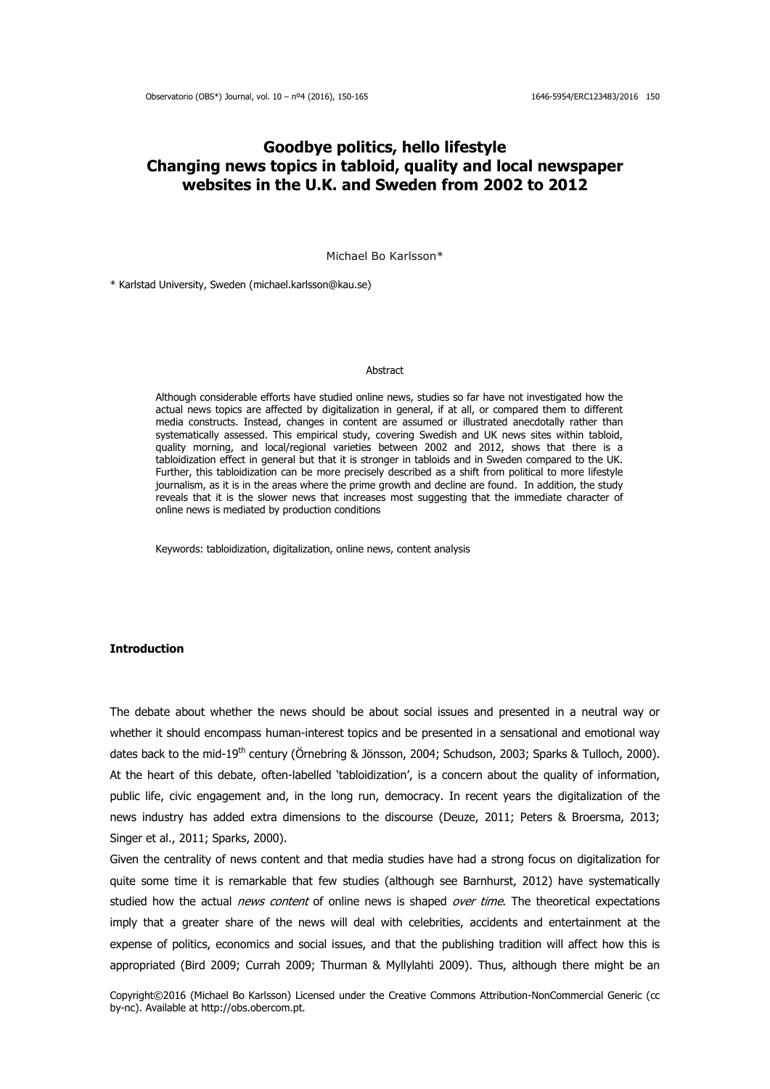# **Goodbye politics, hello lifestyle Changing news topics in tabloid, quality and local newspaper websites in the U.K. and Sweden from 2002 to 2012**

Michael Bo Karlsson\*

\* Karlstad University, Sweden (michael.karlsson@kau.se)

#### **Abstract**

Although considerable efforts have studied online news, studies so far have not investigated how the actual news topics are affected by digitalization in general, if at all, or compared them to different media constructs. Instead, changes in content are assumed or illustrated anecdotally rather than systematically assessed. This empirical study, covering Swedish and UK news sites within tabloid, quality morning, and local/regional varieties between 2002 and 2012, shows that there is a tabloidization effect in general but that it is stronger in tabloids and in Sweden compared to the UK. Further, this tabloidization can be more precisely described as a shift from political to more lifestyle journalism, as it is in the areas where the prime growth and decline are found. In addition, the study reveals that it is the slower news that increases most suggesting that the immediate character of online news is mediated by production conditions

Keywords: tabloidization, digitalization, online news, content analysis

## **Introduction**

The debate about whether the news should be about social issues and presented in a neutral way or whether it should encompass human-interest topics and be presented in a sensational and emotional way dates back to the mid-19<sup>th</sup> century (Örnebring & Jönsson, 2004; Schudson, 2003; Sparks & Tulloch, 2000). At the heart of this debate, often-labelled 'tabloidization', is a concern about the quality of information, public life, civic engagement and, in the long run, democracy. In recent years the digitalization of the news industry has added extra dimensions to the discourse (Deuze, 2011; Peters & Broersma, 2013; Singer et al., 2011; Sparks, 2000).

Given the centrality of news content and that media studies have had a strong focus on digitalization for quite some time it is remarkable that few studies (although see Barnhurst, 2012) have systematically studied how the actual news content of online news is shaped over time. The theoretical expectations imply that a greater share of the news will deal with celebrities, accidents and entertainment at the expense of politics, economics and social issues, and that the publishing tradition will affect how this is appropriated (Bird 2009; Currah 2009; Thurman & Myllylahti 2009). Thus, although there might be an

Copyright©2016 (Michael Bo Karlsson) Licensed under the Creative Commons Attribution-NonCommercial Generic (cc by-nc). Available at http://obs.obercom.pt.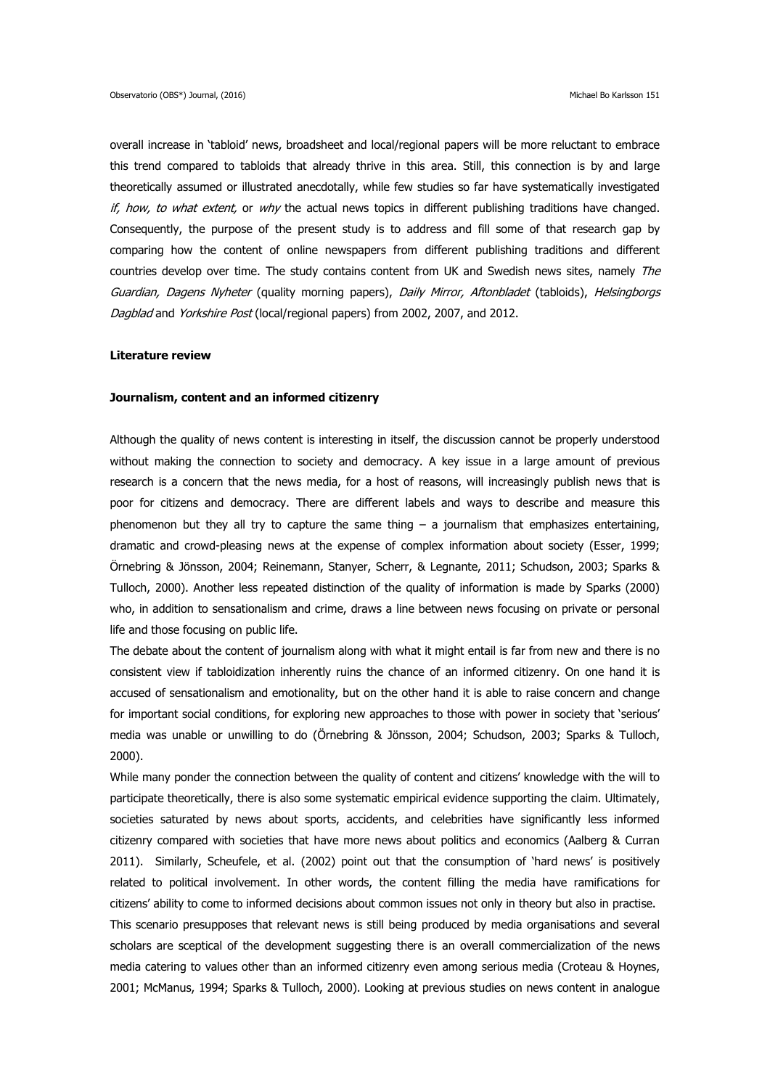overall increase in 'tabloid' news, broadsheet and local/regional papers will be more reluctant to embrace this trend compared to tabloids that already thrive in this area. Still, this connection is by and large theoretically assumed or illustrated anecdotally, while few studies so far have systematically investigated if, how, to what extent, or why the actual news topics in different publishing traditions have changed. Consequently, the purpose of the present study is to address and fill some of that research gap by comparing how the content of online newspapers from different publishing traditions and different countries develop over time. The study contains content from UK and Swedish news sites, namely The Guardian, Dagens Nyheter (quality morning papers), Daily Mirror, Aftonbladet (tabloids), Helsingborgs Dagblad and Yorkshire Post (local/regional papers) from 2002, 2007, and 2012.

#### **Literature review**

#### **Journalism, content and an informed citizenry**

Although the quality of news content is interesting in itself, the discussion cannot be properly understood without making the connection to society and democracy. A key issue in a large amount of previous research is a concern that the news media, for a host of reasons, will increasingly publish news that is poor for citizens and democracy. There are different labels and ways to describe and measure this phenomenon but they all try to capture the same thing  $-$  a journalism that emphasizes entertaining, dramatic and crowd-pleasing news at the expense of complex information about society (Esser, 1999; Örnebring & Jönsson, 2004; Reinemann, Stanyer, Scherr, & Legnante, 2011; Schudson, 2003; Sparks & Tulloch, 2000). Another less repeated distinction of the quality of information is made by Sparks (2000) who, in addition to sensationalism and crime, draws a line between news focusing on private or personal life and those focusing on public life.

The debate about the content of journalism along with what it might entail is far from new and there is no consistent view if tabloidization inherently ruins the chance of an informed citizenry. On one hand it is accused of sensationalism and emotionality, but on the other hand it is able to raise concern and change for important social conditions, for exploring new approaches to those with power in society that 'serious' media was unable or unwilling to do (Örnebring & Jönsson, 2004; Schudson, 2003; Sparks & Tulloch, 2000).

While many ponder the connection between the quality of content and citizens' knowledge with the will to participate theoretically, there is also some systematic empirical evidence supporting the claim. Ultimately, societies saturated by news about sports, accidents, and celebrities have significantly less informed citizenry compared with societies that have more news about politics and economics (Aalberg & Curran 2011). Similarly, Scheufele, et al. (2002) point out that the consumption of 'hard news' is positively related to political involvement. In other words, the content filling the media have ramifications for citizens' ability to come to informed decisions about common issues not only in theory but also in practise. This scenario presupposes that relevant news is still being produced by media organisations and several scholars are sceptical of the development suggesting there is an overall commercialization of the news media catering to values other than an informed citizenry even among serious media (Croteau & Hoynes, 2001; McManus, 1994; Sparks & Tulloch, 2000). Looking at previous studies on news content in analogue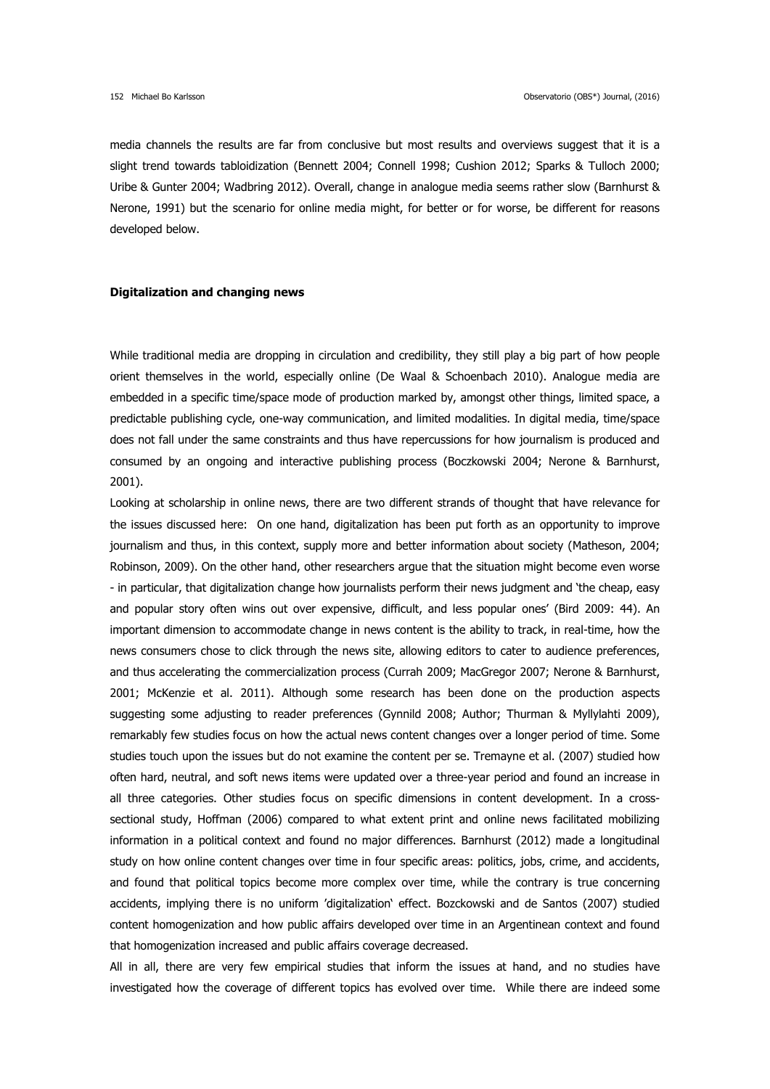media channels the results are far from conclusive but most results and overviews suggest that it is a slight trend towards tabloidization (Bennett 2004; Connell 1998; Cushion 2012; Sparks & Tulloch 2000; Uribe & Gunter 2004; Wadbring 2012). Overall, change in analogue media seems rather slow (Barnhurst & Nerone, 1991) but the scenario for online media might, for better or for worse, be different for reasons developed below.

### **Digitalization and changing news**

While traditional media are dropping in circulation and credibility, they still play a big part of how people orient themselves in the world, especially online (De Waal & Schoenbach 2010). Analogue media are embedded in a specific time/space mode of production marked by, amongst other things, limited space, a predictable publishing cycle, one-way communication, and limited modalities. In digital media, time/space does not fall under the same constraints and thus have repercussions for how journalism is produced and consumed by an ongoing and interactive publishing process (Boczkowski 2004; Nerone & Barnhurst, 2001).

Looking at scholarship in online news, there are two different strands of thought that have relevance for the issues discussed here: On one hand, digitalization has been put forth as an opportunity to improve journalism and thus, in this context, supply more and better information about society (Matheson, 2004; Robinson, 2009). On the other hand, other researchers argue that the situation might become even worse - in particular, that digitalization change how journalists perform their news judgment and 'the cheap, easy and popular story often wins out over expensive, difficult, and less popular ones' (Bird 2009: 44). An important dimension to accommodate change in news content is the ability to track, in real-time, how the news consumers chose to click through the news site, allowing editors to cater to audience preferences, and thus accelerating the commercialization process (Currah 2009; MacGregor 2007; Nerone & Barnhurst, 2001; McKenzie et al. 2011). Although some research has been done on the production aspects suggesting some adjusting to reader preferences (Gynnild 2008; Author; Thurman & Myllylahti 2009), remarkably few studies focus on how the actual news content changes over a longer period of time. Some studies touch upon the issues but do not examine the content per se. Tremayne et al. (2007) studied how often hard, neutral, and soft news items were updated over a three-year period and found an increase in all three categories. Other studies focus on specific dimensions in content development. In a crosssectional study, Hoffman (2006) compared to what extent print and online news facilitated mobilizing information in a political context and found no major differences. Barnhurst (2012) made a longitudinal study on how online content changes over time in four specific areas: politics, jobs, crime, and accidents, and found that political topics become more complex over time, while the contrary is true concerning accidents, implying there is no uniform 'digitalization' effect. Bozckowski and de Santos (2007) studied content homogenization and how public affairs developed over time in an Argentinean context and found that homogenization increased and public affairs coverage decreased.

All in all, there are very few empirical studies that inform the issues at hand, and no studies have investigated how the coverage of different topics has evolved over time. While there are indeed some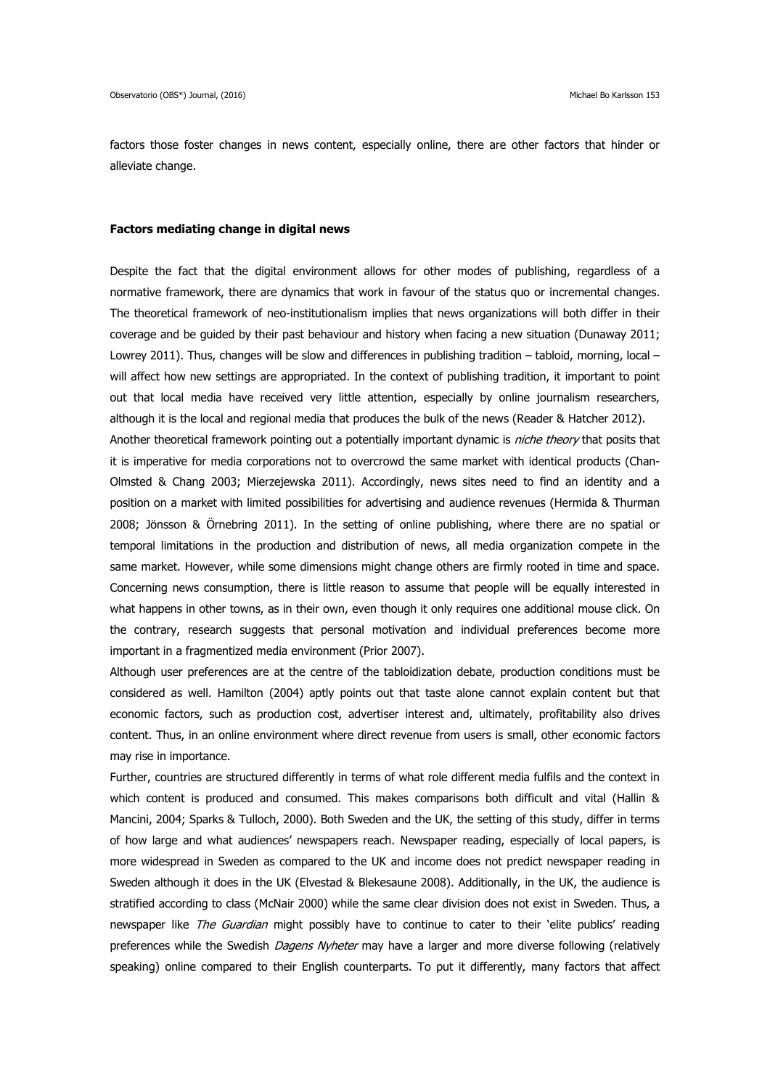factors those foster changes in news content, especially online, there are other factors that hinder or alleviate change.

#### **Factors mediating change in digital news**

Despite the fact that the digital environment allows for other modes of publishing, regardless of a normative framework, there are dynamics that work in favour of the status quo or incremental changes. The theoretical framework of neo-institutionalism implies that news organizations will both differ in their coverage and be guided by their past behaviour and history when facing a new situation (Dunaway 2011; Lowrey 2011). Thus, changes will be slow and differences in publishing tradition – tabloid, morning, local – will affect how new settings are appropriated. In the context of publishing tradition, it important to point out that local media have received very little attention, especially by online journalism researchers, although it is the local and regional media that produces the bulk of the news (Reader & Hatcher 2012).

Another theoretical framework pointing out a potentially important dynamic is *niche theory* that posits that it is imperative for media corporations not to overcrowd the same market with identical products (Chan-Olmsted & Chang 2003; Mierzejewska 2011). Accordingly, news sites need to find an identity and a position on a market with limited possibilities for advertising and audience revenues (Hermida & Thurman 2008; Jönsson & Örnebring 2011). In the setting of online publishing, where there are no spatial or temporal limitations in the production and distribution of news, all media organization compete in the same market. However, while some dimensions might change others are firmly rooted in time and space. Concerning news consumption, there is little reason to assume that people will be equally interested in what happens in other towns, as in their own, even though it only requires one additional mouse click. On the contrary, research suggests that personal motivation and individual preferences become more important in a fragmentized media environment (Prior 2007).

Although user preferences are at the centre of the tabloidization debate, production conditions must be considered as well. Hamilton (2004) aptly points out that taste alone cannot explain content but that economic factors, such as production cost, advertiser interest and, ultimately, profitability also drives content. Thus, in an online environment where direct revenue from users is small, other economic factors may rise in importance.

Further, countries are structured differently in terms of what role different media fulfils and the context in which content is produced and consumed. This makes comparisons both difficult and vital (Hallin & Mancini, 2004; Sparks & Tulloch, 2000). Both Sweden and the UK, the setting of this study, differ in terms of how large and what audiences' newspapers reach. Newspaper reading, especially of local papers, is more widespread in Sweden as compared to the UK and income does not predict newspaper reading in Sweden although it does in the UK (Elvestad & Blekesaune 2008). Additionally, in the UK, the audience is stratified according to class (McNair 2000) while the same clear division does not exist in Sweden. Thus, a newspaper like The Guardian might possibly have to continue to cater to their 'elite publics' reading preferences while the Swedish *Dagens Nyheter* may have a larger and more diverse following (relatively speaking) online compared to their English counterparts. To put it differently, many factors that affect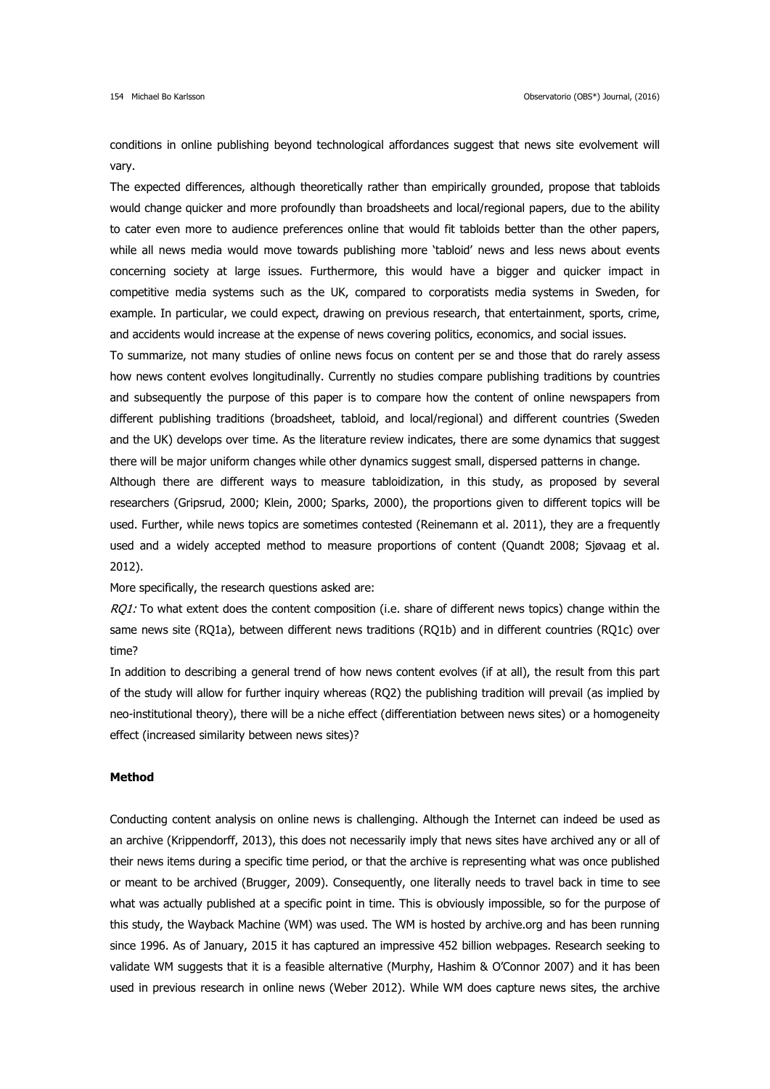conditions in online publishing beyond technological affordances suggest that news site evolvement will vary.

The expected differences, although theoretically rather than empirically grounded, propose that tabloids would change quicker and more profoundly than broadsheets and local/regional papers, due to the ability to cater even more to audience preferences online that would fit tabloids better than the other papers, while all news media would move towards publishing more 'tabloid' news and less news about events concerning society at large issues. Furthermore, this would have a bigger and quicker impact in competitive media systems such as the UK, compared to corporatists media systems in Sweden, for example. In particular, we could expect, drawing on previous research, that entertainment, sports, crime, and accidents would increase at the expense of news covering politics, economics, and social issues.

To summarize, not many studies of online news focus on content per se and those that do rarely assess how news content evolves longitudinally. Currently no studies compare publishing traditions by countries and subsequently the purpose of this paper is to compare how the content of online newspapers from different publishing traditions (broadsheet, tabloid, and local/regional) and different countries (Sweden and the UK) develops over time. As the literature review indicates, there are some dynamics that suggest there will be major uniform changes while other dynamics suggest small, dispersed patterns in change.

Although there are different ways to measure tabloidization, in this study, as proposed by several researchers (Gripsrud, 2000; Klein, 2000; Sparks, 2000), the proportions given to different topics will be used. Further, while news topics are sometimes contested (Reinemann et al. 2011), they are a frequently used and a widely accepted method to measure proportions of content (Quandt 2008; Sjøvaag et al. 2012).

More specifically, the research questions asked are:

 $RQ1$ : To what extent does the content composition (i.e. share of different news topics) change within the same news site (RQ1a), between different news traditions (RQ1b) and in different countries (RQ1c) over time?

In addition to describing a general trend of how news content evolves (if at all), the result from this part of the study will allow for further inquiry whereas (RQ2) the publishing tradition will prevail (as implied by neo-institutional theory), there will be a niche effect (differentiation between news sites) or a homogeneity effect (increased similarity between news sites)?

## **Method**

Conducting content analysis on online news is challenging. Although the Internet can indeed be used as an archive (Krippendorff, 2013), this does not necessarily imply that news sites have archived any or all of their news items during a specific time period, or that the archive is representing what was once published or meant to be archived (Brugger, 2009). Consequently, one literally needs to travel back in time to see what was actually published at a specific point in time. This is obviously impossible, so for the purpose of this study, the Wayback Machine (WM) was used. The WM is hosted by archive.org and has been running since 1996. As of January, 2015 it has captured an impressive 452 billion webpages. Research seeking to validate WM suggests that it is a feasible alternative (Murphy, Hashim & O'Connor 2007) and it has been used in previous research in online news (Weber 2012). While WM does capture news sites, the archive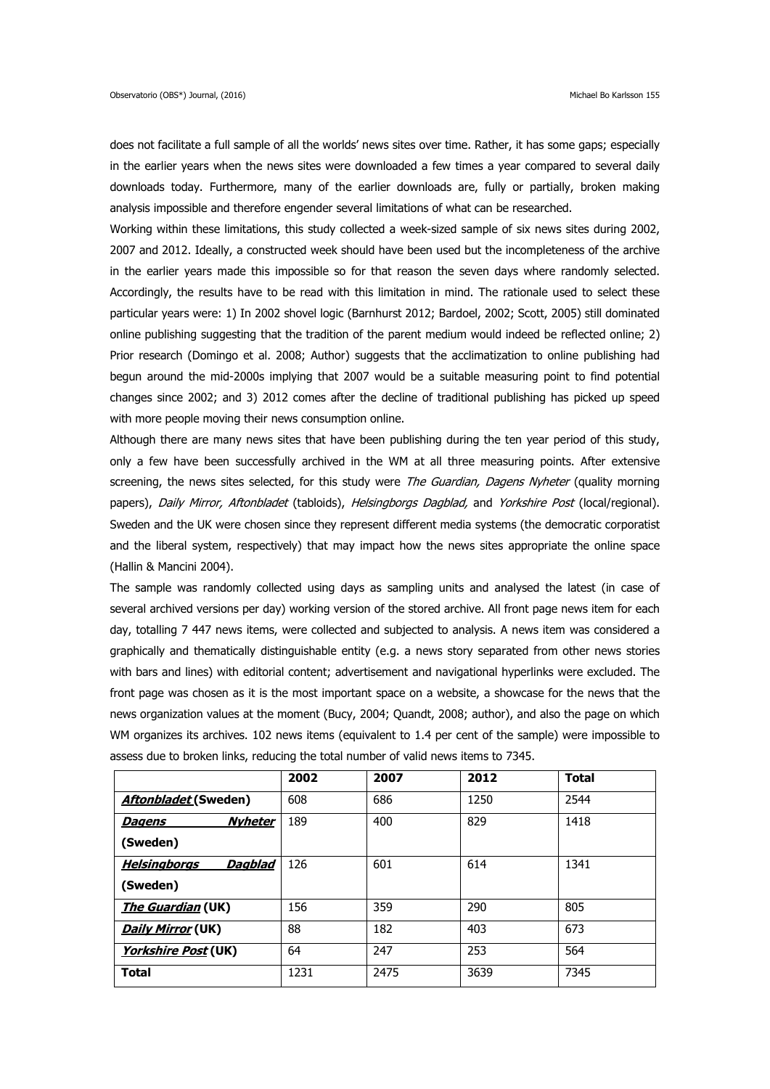does not facilitate a full sample of all the worlds' news sites over time. Rather, it has some gaps; especially in the earlier years when the news sites were downloaded a few times a year compared to several daily downloads today. Furthermore, many of the earlier downloads are, fully or partially, broken making analysis impossible and therefore engender several limitations of what can be researched.

Working within these limitations, this study collected a week-sized sample of six news sites during 2002, 2007 and 2012. Ideally, a constructed week should have been used but the incompleteness of the archive in the earlier years made this impossible so for that reason the seven days where randomly selected. Accordingly, the results have to be read with this limitation in mind. The rationale used to select these particular years were: 1) In 2002 shovel logic (Barnhurst 2012; Bardoel, 2002; Scott, 2005) still dominated online publishing suggesting that the tradition of the parent medium would indeed be reflected online; 2) Prior research (Domingo et al. 2008; Author) suggests that the acclimatization to online publishing had begun around the mid-2000s implying that 2007 would be a suitable measuring point to find potential changes since 2002; and 3) 2012 comes after the decline of traditional publishing has picked up speed with more people moving their news consumption online.

Although there are many news sites that have been publishing during the ten year period of this study, only a few have been successfully archived in the WM at all three measuring points. After extensive screening, the news sites selected, for this study were *The Guardian, Dagens Nyheter* (quality morning papers), Daily Mirror, Aftonbladet (tabloids), Helsingborgs Dagblad, and Yorkshire Post (local/regional). Sweden and the UK were chosen since they represent different media systems (the democratic corporatist and the liberal system, respectively) that may impact how the news sites appropriate the online space (Hallin & Mancini 2004).

The sample was randomly collected using days as sampling units and analysed the latest (in case of several archived versions per day) working version of the stored archive. All front page news item for each day, totalling 7 447 news items, were collected and subjected to analysis. A news item was considered a graphically and thematically distinguishable entity (e.g. a news story separated from other news stories with bars and lines) with editorial content; advertisement and navigational hyperlinks were excluded. The front page was chosen as it is the most important space on a website, a showcase for the news that the news organization values at the moment (Bucy, 2004; Quandt, 2008; author), and also the page on which WM organizes its archives. 102 news items (equivalent to 1.4 per cent of the sample) were impossible to assess due to broken links, reducing the total number of valid news items to 7345.

|                                | 2002 | 2007 | 2012 | <b>Total</b> |  |
|--------------------------------|------|------|------|--------------|--|
| <b>Aftonbladet (Sweden)</b>    | 608  | 686  | 1250 | 2544         |  |
| <b>Nyheter</b><br>Dagens       | 189  | 400  | 829  | 1418         |  |
| (Sweden)                       |      |      |      |              |  |
| <b>Helsingborgs</b><br>Dagblad | 126  | 601  | 614  | 1341         |  |
| (Sweden)                       |      |      |      |              |  |
| <i>The Guardian</i> (UK)       | 156  | 359  | 290  | 805          |  |
| <b>Daily Mirror (UK)</b>       | 88   | 182  | 403  | 673          |  |
| <b>Yorkshire Post</b> (UK)     | 64   | 247  | 253  | 564          |  |
| <b>Total</b>                   | 1231 | 2475 | 3639 | 7345         |  |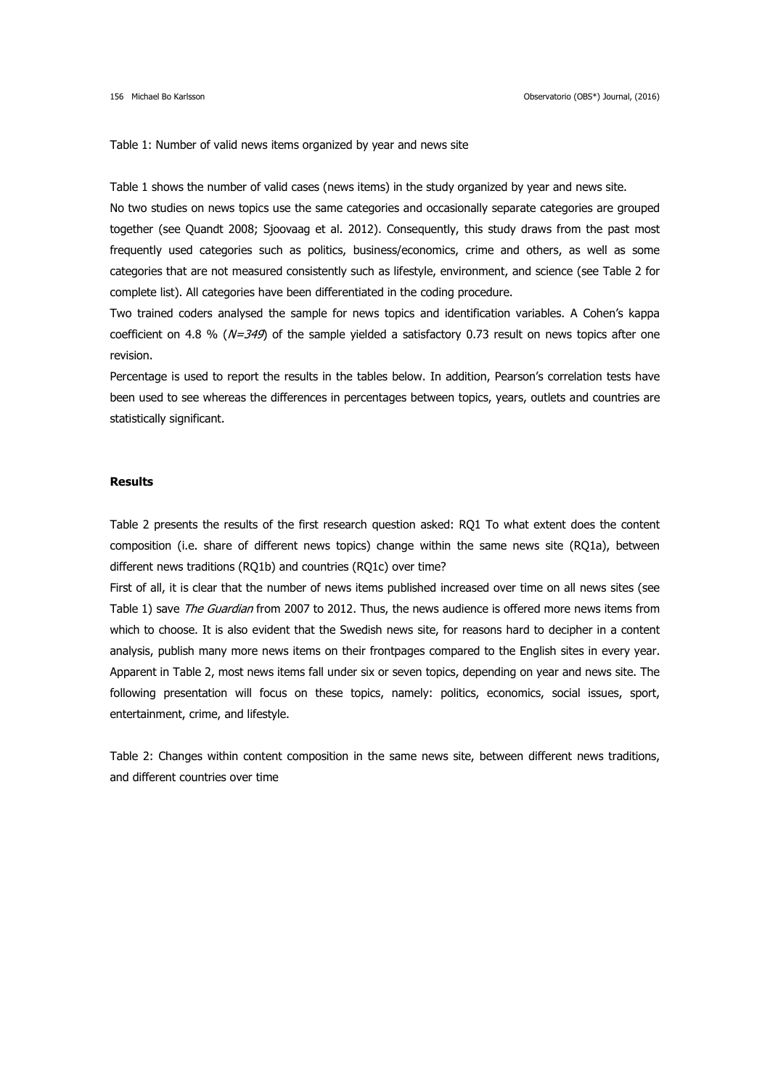Table 1: Number of valid news items organized by year and news site

Table 1 shows the number of valid cases (news items) in the study organized by year and news site.

No two studies on news topics use the same categories and occasionally separate categories are grouped together (see Quandt 2008; Sjoovaag et al. 2012). Consequently, this study draws from the past most frequently used categories such as politics, business/economics, crime and others, as well as some categories that are not measured consistently such as lifestyle, environment, and science (see Table 2 for complete list). All categories have been differentiated in the coding procedure.

Two trained coders analysed the sample for news topics and identification variables. A Cohen's kappa coefficient on 4.8 % ( $N=349$ ) of the sample yielded a satisfactory 0.73 result on news topics after one revision.

Percentage is used to report the results in the tables below. In addition, Pearson's correlation tests have been used to see whereas the differences in percentages between topics, years, outlets and countries are statistically significant.

#### **Results**

Table 2 presents the results of the first research question asked: RQ1 To what extent does the content composition (i.e. share of different news topics) change within the same news site (RQ1a), between different news traditions (RQ1b) and countries (RQ1c) over time?

First of all, it is clear that the number of news items published increased over time on all news sites (see Table 1) save The Guardian from 2007 to 2012. Thus, the news audience is offered more news items from which to choose. It is also evident that the Swedish news site, for reasons hard to decipher in a content analysis, publish many more news items on their frontpages compared to the English sites in every year. Apparent in Table 2, most news items fall under six or seven topics, depending on year and news site. The following presentation will focus on these topics, namely: politics, economics, social issues, sport, entertainment, crime, and lifestyle.

Table 2: Changes within content composition in the same news site, between different news traditions, and different countries over time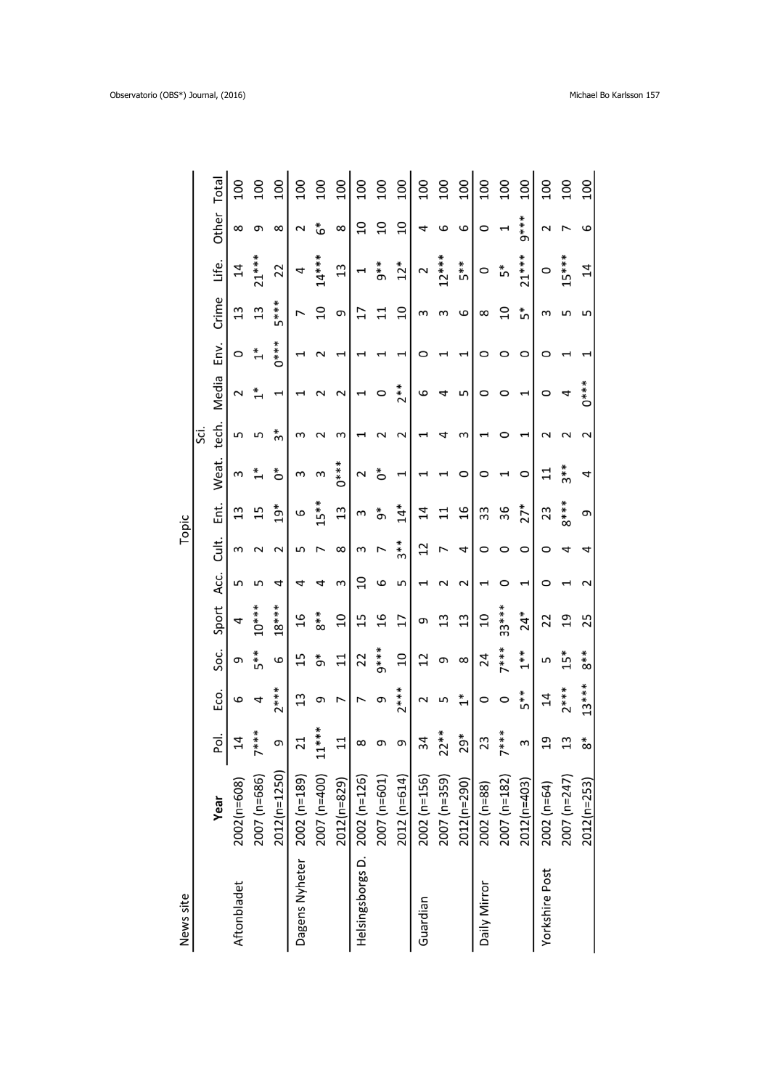| Total<br>100<br>Other<br>8 |                             | <b>200</b><br>ς | <b>00T</b><br>$\infty$      | 100<br>$\sim$ | 100<br>ٷ       | 100<br>$\infty$ | 100<br>SD                     | 100<br>$\overline{a}$ | 100<br>$\overline{0}$     | 100<br>4                 | 100<br>6     | 100<br>6                   | 100<br>$\circ$     | 100<br>$\overline{ }$ | 100<br>$9***$                                                              | 100<br>$\sim$         | 100            |
|----------------------------|-----------------------------|-----------------|-----------------------------|---------------|----------------|-----------------|-------------------------------|-----------------------|---------------------------|--------------------------|--------------|----------------------------|--------------------|-----------------------|----------------------------------------------------------------------------|-----------------------|----------------|
| Life.<br>$\overline{4}$    | $21***$                     | 22              |                             | 4             | $14***$        | 13              | 1                             | $5 * *$               | $12*$                     | $\mathbf{\sim}$          | $12***$      | 5**                        | $\circ$            | ້ ກ                   | $21***$                                                                    | 0                     | $15***$        |
| Crime<br>13                | 13                          | 5***            |                             | L             | $\overline{a}$ | თ               | 17                            | $\Xi$                 | $\overline{a}$            | S                        | S            | 6                          | $\infty$           | $\Omega$              | ້ ກ                                                                        | S                     | S              |
| Env.<br>O                  | $\stackrel{*}{\rightarrow}$ | $0***$          |                             |               | $\mathbf 2$    | H               | 1                             | 1                     | I                         | 0                        |              | H                          | 0                  | 0                     | 0                                                                          | 0                     |                |
| Media<br>2                 | $\stackrel{*}{\rightarrow}$ | 1               |                             |               | $\sim$         | 2               | $\overline{\phantom{0}}$      | $\circ$               | $2**$                     | 9                        | 4            | 5                          | 0                  | 0                     | J                                                                          | 0                     | $0***$<br>4    |
| tech.<br>Б                 | 5                           | *ო              | m                           |               | $\sim$         | S               | 1                             | $\sim$                | $\sim$                    |                          | 4            | S                          |                    | 0                     |                                                                            |                       |                |
| Weat.<br>S                 | $\stackrel{*}{\text{-}}$    | Ő               | m                           |               | S              | $0***$          | $\mathbf 2$                   | Ő                     | 1                         |                          |              | 0                          | 0                  |                       | O                                                                          | $\Xi$                 | $3**$          |
| Ė.<br>13                   | 15                          | $19*$           | 9                           |               | $15**$         | 13              | S                             | ზ<br>თ                | $\overset{*}{\mathbf{4}}$ | $\overline{14}$          | $\Xi$        | $\frac{6}{1}$              | 33                 | 36                    | $27*$                                                                      | 23                    | $8***$         |
| Cult.<br>S                 | 2                           | 2               | ഗ                           |               |                | $\infty$        | ξ                             | $\overline{ }$        | 3**                       | $\overline{c}$           | 7            | 4                          | $\circ$            | O                     | O                                                                          | 0                     | 4              |
| Acc.<br>5                  | 5                           | 4               | 4                           | 4             |                | S               | $\Omega$                      | 6                     | S                         | $\overline{\phantom{0}}$ | $\mathbf 2$  | $\mathbf 2$                | $\mathrel{\dashv}$ | O                     | I                                                                          | 0                     |                |
| Sport<br>4                 | $10***$                     | $18***$         | 16                          | $\frac{*}{8}$ |                | $\overline{a}$  | 15                            | $\frac{1}{6}$         | 17                        | e                        | 13           | $\mathfrak{u}$             | $\overline{c}$     | $33***$               | $24*$                                                                      | 22                    | $\overline{c}$ |
| Soc.<br>9                  | 5**                         | 9               | 15                          | ზ $\sigma$    |                | $\Xi$           | 22                            | $9***$                | $\overline{10}$           | $\overline{12}$          | G            | $\infty$                   | 24                 | $7***$                | $\stackrel{*}{\scriptstyle\smash{\stackrel{*}{\scriptstyle\smash{\ast}}}}$ | 5                     | $15*$          |
| Eco.<br>6                  | 4                           | $2***$          | $\mathfrak{u}$              | თ             |                | L               | $\overline{\phantom{0}}$      | თ                     | 7***                      | $\mathbf 2$              | S            | $\stackrel{*}{\leftarrow}$ | O                  | $\circ$               | 5**                                                                        | 14                    | $2***$         |
| Pol.<br>$\overline{1}4$    | $* * * *$                   | თ               | $\overline{21}$             | $11***$<br>1  |                | $\Xi$           | $\infty$                      | ς                     | თ                         | 34                       | $22**$       | $29*$                      | 23                 | $7 * * *$             | S                                                                          | $\overline{c}$        | 13             |
| 2002(n=608)<br>Year        | 2007 (n=686)                | 2012(n=1250)    |                             | 2007 (n=400)  |                | 2012(n=829)     |                               | 2007 (n=601)          | 2012 (n=614)              | 2002 (n=156)             | 2007 (n=359) | 2012(n=290)                | 2002 (n=88)        | 2007 (n=182)          | $2012(n=403)$                                                              | $2002$ (n=64)         | 2007 (n=247)   |
| Aftonbladet                |                             |                 | Dagens Nyheter 2002 (n=189) |               |                |                 | Helsingsborgs D. 2002 (n=126) |                       |                           | Guardian                 |              |                            | Daily Mirror       |                       |                                                                            | <b>Yorkshire Post</b> |                |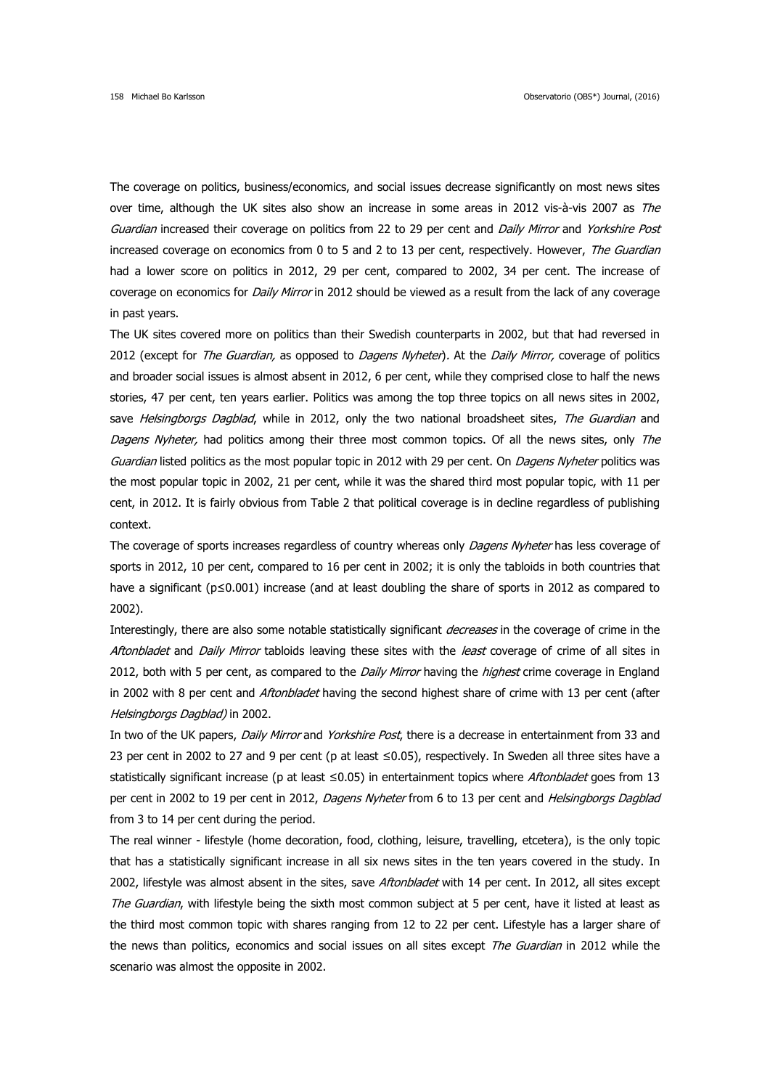The coverage on politics, business/economics, and social issues decrease significantly on most news sites over time, although the UK sites also show an increase in some areas in 2012 vis-à-vis 2007 as The Guardian increased their coverage on politics from 22 to 29 per cent and Daily Mirror and Yorkshire Post increased coverage on economics from 0 to 5 and 2 to 13 per cent, respectively. However, The Guardian had a lower score on politics in 2012, 29 per cent, compared to 2002, 34 per cent. The increase of coverage on economics for *Daily Mirror* in 2012 should be viewed as a result from the lack of any coverage in past years.

The UK sites covered more on politics than their Swedish counterparts in 2002, but that had reversed in 2012 (except for *The Guardian,* as opposed to *Dagens Nyheter*). At the *Daily Mirror*, coverage of politics and broader social issues is almost absent in 2012, 6 per cent, while they comprised close to half the news stories, 47 per cent, ten years earlier. Politics was among the top three topics on all news sites in 2002, save Helsingborgs Dagblad, while in 2012, only the two national broadsheet sites, The Guardian and Dagens Nyheter, had politics among their three most common topics. Of all the news sites, only The Guardian listed politics as the most popular topic in 2012 with 29 per cent. On *Dagens Nyheter* politics was the most popular topic in 2002, 21 per cent, while it was the shared third most popular topic, with 11 per cent, in 2012. It is fairly obvious from Table 2 that political coverage is in decline regardless of publishing context.

The coverage of sports increases regardless of country whereas only *Dagens Nyheter* has less coverage of sports in 2012, 10 per cent, compared to 16 per cent in 2002; it is only the tabloids in both countries that have a significant (p≤0.001) increase (and at least doubling the share of sports in 2012 as compared to 2002).

Interestingly, there are also some notable statistically significant *decreases* in the coverage of crime in the Aftonbladet and Daily Mirror tabloids leaving these sites with the least coverage of crime of all sites in 2012, both with 5 per cent, as compared to the Daily Mirror having the highest crime coverage in England in 2002 with 8 per cent and *Aftonbladet* having the second highest share of crime with 13 per cent (after Helsingborgs Dagblad) in 2002.

In two of the UK papers, Daily Mirror and Yorkshire Post, there is a decrease in entertainment from 33 and 23 per cent in 2002 to 27 and 9 per cent (p at least ≤0.05), respectively. In Sweden all three sites have a statistically significant increase (p at least ≤0.05) in entertainment topics where Aftonbladet goes from 13 per cent in 2002 to 19 per cent in 2012, Dagens Nyheter from 6 to 13 per cent and Helsingborgs Dagblad from 3 to 14 per cent during the period.

The real winner - lifestyle (home decoration, food, clothing, leisure, travelling, etcetera), is the only topic that has a statistically significant increase in all six news sites in the ten years covered in the study. In 2002, lifestyle was almost absent in the sites, save Aftonbladet with 14 per cent. In 2012, all sites except The Guardian, with lifestyle being the sixth most common subject at 5 per cent, have it listed at least as the third most common topic with shares ranging from 12 to 22 per cent. Lifestyle has a larger share of the news than politics, economics and social issues on all sites except *The Guardian* in 2012 while the scenario was almost the opposite in 2002.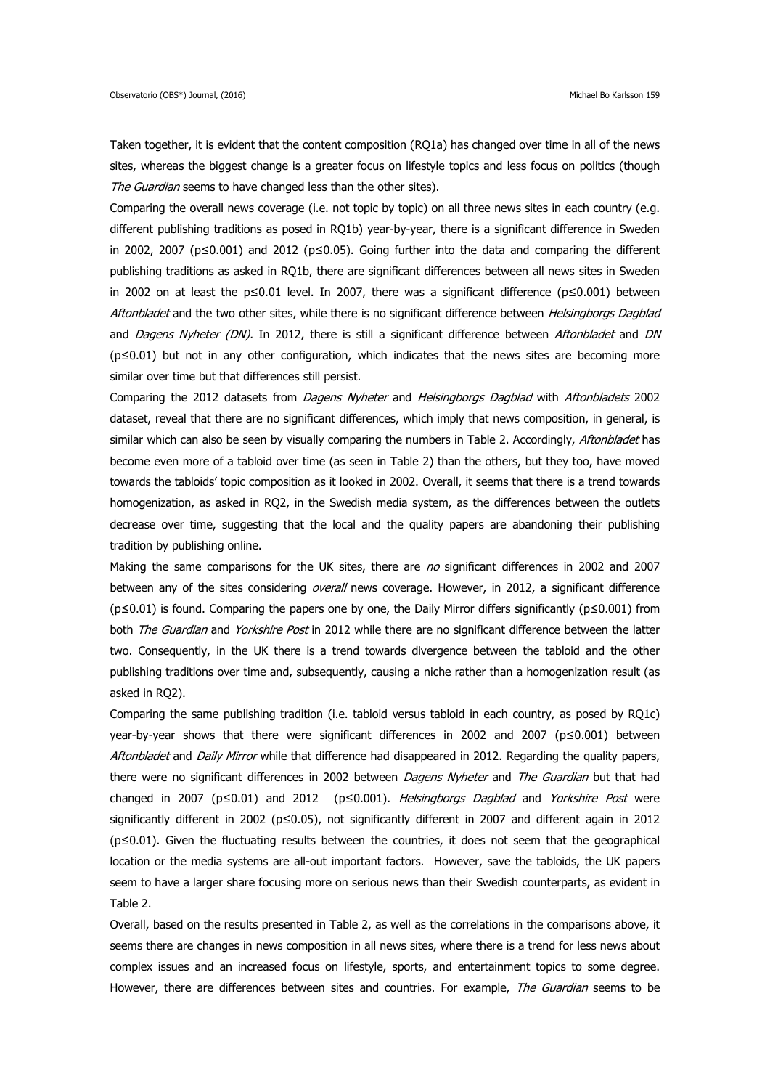Taken together, it is evident that the content composition (RQ1a) has changed over time in all of the news sites, whereas the biggest change is a greater focus on lifestyle topics and less focus on politics (though The Guardian seems to have changed less than the other sites).

Comparing the overall news coverage (i.e. not topic by topic) on all three news sites in each country (e.g. different publishing traditions as posed in RQ1b) year-by-year, there is a significant difference in Sweden in 2002, 2007 (p≤0.001) and 2012 (p≤0.05). Going further into the data and comparing the different publishing traditions as asked in RQ1b, there are significant differences between all news sites in Sweden in 2002 on at least the p≤0.01 level. In 2007, there was a significant difference (p≤0.001) between Aftonbladet and the two other sites, while there is no significant difference between Helsingborgs Dagblad and *Dagens Nyheter (DN)*. In 2012, there is still a significant difference between *Aftonbladet* and *DN* (p≤0.01) but not in any other configuration, which indicates that the news sites are becoming more similar over time but that differences still persist.

Comparing the 2012 datasets from Dagens Nyheter and Helsingborgs Dagblad with Aftonbladets 2002 dataset, reveal that there are no significant differences, which imply that news composition, in general, is similar which can also be seen by visually comparing the numbers in Table 2. Accordingly, Aftonbladet has become even more of a tabloid over time (as seen in Table 2) than the others, but they too, have moved towards the tabloids' topic composition as it looked in 2002. Overall, it seems that there is a trend towards homogenization, as asked in RQ2, in the Swedish media system, as the differences between the outlets decrease over time, suggesting that the local and the quality papers are abandoning their publishing tradition by publishing online.

Making the same comparisons for the UK sites, there are no significant differences in 2002 and 2007 between any of the sites considering overall news coverage. However, in 2012, a significant difference (p≤0.01) is found. Comparing the papers one by one, the Daily Mirror differs significantly (p≤0.001) from both The Guardian and Yorkshire Post in 2012 while there are no significant difference between the latter two. Consequently, in the UK there is a trend towards divergence between the tabloid and the other publishing traditions over time and, subsequently, causing a niche rather than a homogenization result (as asked in RQ2).

Comparing the same publishing tradition (i.e. tabloid versus tabloid in each country, as posed by RQ1c) year-by-year shows that there were significant differences in 2002 and 2007 (p≤0.001) between Aftonbladet and Daily Mirror while that difference had disappeared in 2012. Regarding the quality papers, there were no significant differences in 2002 between *Dagens Nyheter* and *The Guardian* but that had changed in 2007 (p≤0.01) and 2012 (p≤0.001). Helsingborgs Dagblad and Yorkshire Post were significantly different in 2002 (p≤0.05), not significantly different in 2007 and different again in 2012 (p≤0.01). Given the fluctuating results between the countries, it does not seem that the geographical location or the media systems are all-out important factors. However, save the tabloids, the UK papers seem to have a larger share focusing more on serious news than their Swedish counterparts, as evident in Table 2.

Overall, based on the results presented in Table 2, as well as the correlations in the comparisons above, it seems there are changes in news composition in all news sites, where there is a trend for less news about complex issues and an increased focus on lifestyle, sports, and entertainment topics to some degree. However, there are differences between sites and countries. For example, The Guardian seems to be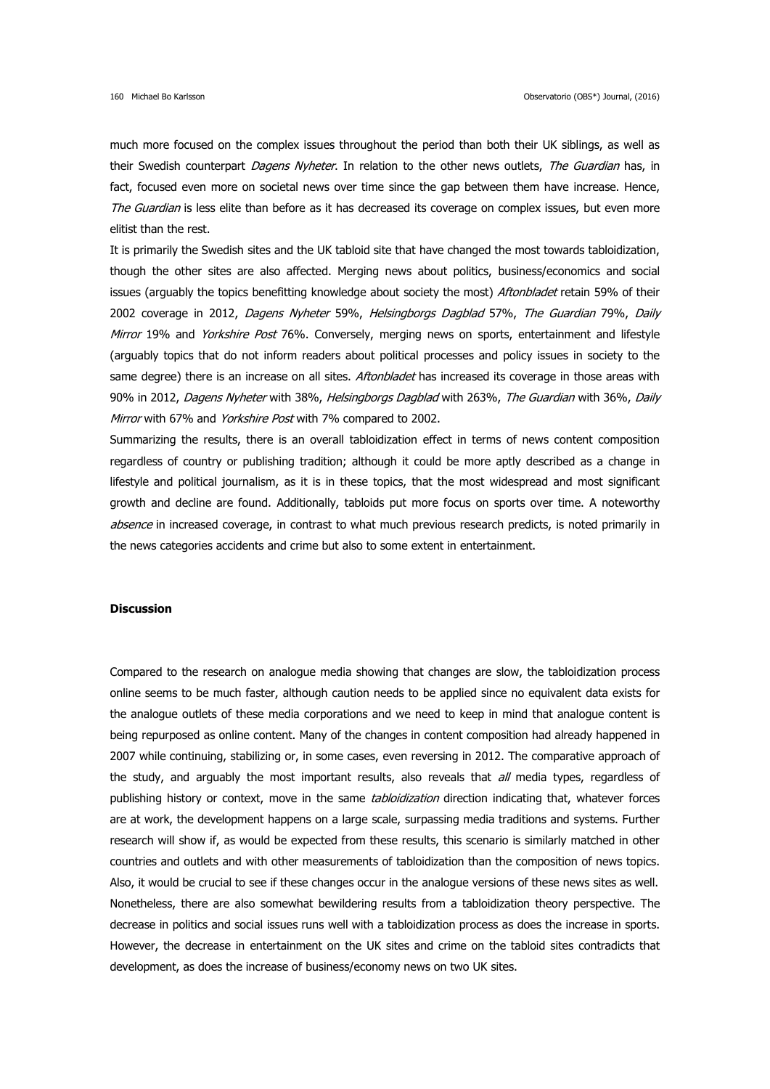much more focused on the complex issues throughout the period than both their UK siblings, as well as their Swedish counterpart *Dagens Nyheter*. In relation to the other news outlets, The Guardian has, in fact, focused even more on societal news over time since the gap between them have increase. Hence, The Guardian is less elite than before as it has decreased its coverage on complex issues, but even more elitist than the rest.

It is primarily the Swedish sites and the UK tabloid site that have changed the most towards tabloidization, though the other sites are also affected. Merging news about politics, business/economics and social issues (arguably the topics benefitting knowledge about society the most) *Aftonbladet* retain 59% of their 2002 coverage in 2012, Dagens Nyheter 59%, Helsingborgs Dagblad 57%, The Guardian 79%, Daily Mirror 19% and Yorkshire Post 76%. Conversely, merging news on sports, entertainment and lifestyle (arguably topics that do not inform readers about political processes and policy issues in society to the same degree) there is an increase on all sites. Aftonbladet has increased its coverage in those areas with 90% in 2012, Dagens Nyheter with 38%, Helsingborgs Dagblad with 263%, The Guardian with 36%, Daily Mirror with 67% and Yorkshire Post with 7% compared to 2002.

Summarizing the results, there is an overall tabloidization effect in terms of news content composition regardless of country or publishing tradition; although it could be more aptly described as a change in lifestyle and political journalism, as it is in these topics, that the most widespread and most significant growth and decline are found. Additionally, tabloids put more focus on sports over time. A noteworthy absence in increased coverage, in contrast to what much previous research predicts, is noted primarily in the news categories accidents and crime but also to some extent in entertainment.

#### **Discussion**

Compared to the research on analogue media showing that changes are slow, the tabloidization process online seems to be much faster, although caution needs to be applied since no equivalent data exists for the analogue outlets of these media corporations and we need to keep in mind that analogue content is being repurposed as online content. Many of the changes in content composition had already happened in 2007 while continuing, stabilizing or, in some cases, even reversing in 2012. The comparative approach of the study, and arguably the most important results, also reveals that all media types, regardless of publishing history or context, move in the same *tabloidization* direction indicating that, whatever forces are at work, the development happens on a large scale, surpassing media traditions and systems. Further research will show if, as would be expected from these results, this scenario is similarly matched in other countries and outlets and with other measurements of tabloidization than the composition of news topics. Also, it would be crucial to see if these changes occur in the analogue versions of these news sites as well. Nonetheless, there are also somewhat bewildering results from a tabloidization theory perspective. The decrease in politics and social issues runs well with a tabloidization process as does the increase in sports. However, the decrease in entertainment on the UK sites and crime on the tabloid sites contradicts that development, as does the increase of business/economy news on two UK sites.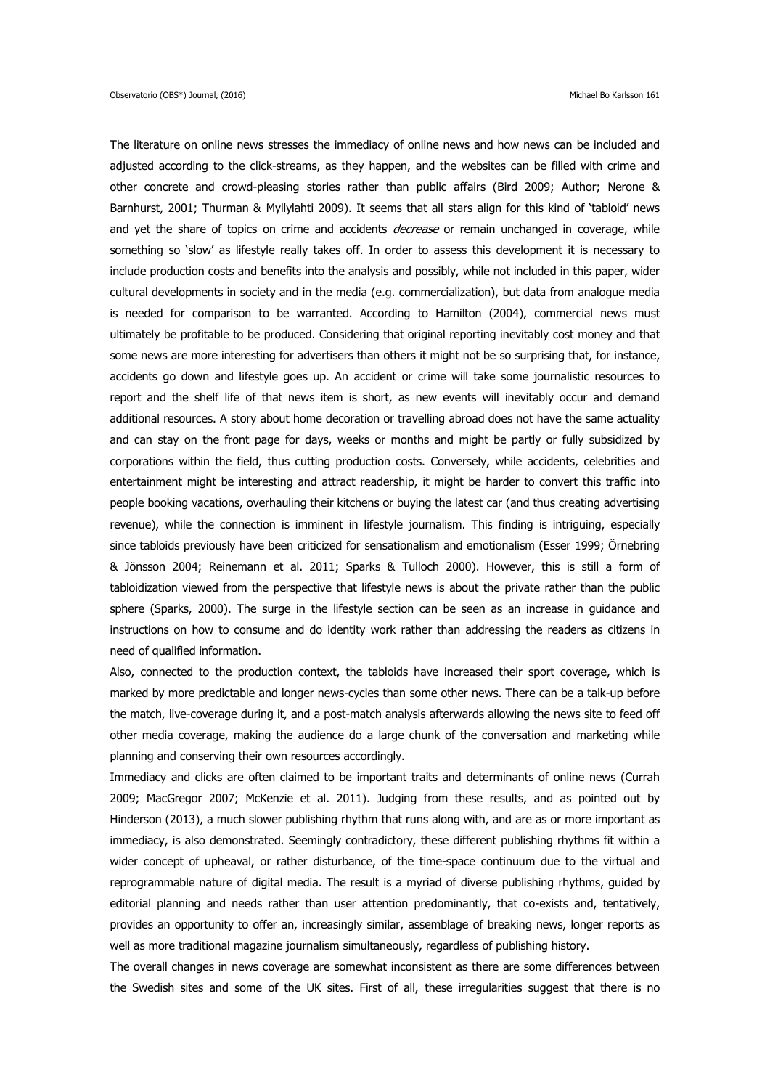The literature on online news stresses the immediacy of online news and how news can be included and adjusted according to the click-streams, as they happen, and the websites can be filled with crime and other concrete and crowd-pleasing stories rather than public affairs (Bird 2009; Author; Nerone & Barnhurst, 2001; Thurman & Myllylahti 2009). It seems that all stars align for this kind of 'tabloid' news and yet the share of topics on crime and accidents *decrease* or remain unchanged in coverage, while something so 'slow' as lifestyle really takes off. In order to assess this development it is necessary to include production costs and benefits into the analysis and possibly, while not included in this paper, wider cultural developments in society and in the media (e.g. commercialization), but data from analogue media is needed for comparison to be warranted. According to Hamilton (2004), commercial news must ultimately be profitable to be produced. Considering that original reporting inevitably cost money and that some news are more interesting for advertisers than others it might not be so surprising that, for instance, accidents go down and lifestyle goes up. An accident or crime will take some journalistic resources to report and the shelf life of that news item is short, as new events will inevitably occur and demand additional resources. A story about home decoration or travelling abroad does not have the same actuality and can stay on the front page for days, weeks or months and might be partly or fully subsidized by corporations within the field, thus cutting production costs. Conversely, while accidents, celebrities and entertainment might be interesting and attract readership, it might be harder to convert this traffic into people booking vacations, overhauling their kitchens or buying the latest car (and thus creating advertising revenue), while the connection is imminent in lifestyle journalism. This finding is intriguing, especially since tabloids previously have been criticized for sensationalism and emotionalism (Esser 1999; Örnebring & Jönsson 2004; Reinemann et al. 2011; Sparks & Tulloch 2000). However, this is still a form of tabloidization viewed from the perspective that lifestyle news is about the private rather than the public sphere (Sparks, 2000). The surge in the lifestyle section can be seen as an increase in guidance and instructions on how to consume and do identity work rather than addressing the readers as citizens in need of qualified information.

Also, connected to the production context, the tabloids have increased their sport coverage, which is marked by more predictable and longer news-cycles than some other news. There can be a talk-up before the match, live-coverage during it, and a post-match analysis afterwards allowing the news site to feed off other media coverage, making the audience do a large chunk of the conversation and marketing while planning and conserving their own resources accordingly.

Immediacy and clicks are often claimed to be important traits and determinants of online news (Currah 2009; MacGregor 2007; McKenzie et al. 2011). Judging from these results, and as pointed out by Hinderson (2013), a much slower publishing rhythm that runs along with, and are as or more important as immediacy, is also demonstrated. Seemingly contradictory, these different publishing rhythms fit within a wider concept of upheaval, or rather disturbance, of the time-space continuum due to the virtual and reprogrammable nature of digital media. The result is a myriad of diverse publishing rhythms, guided by editorial planning and needs rather than user attention predominantly, that co-exists and, tentatively, provides an opportunity to offer an, increasingly similar, assemblage of breaking news, longer reports as well as more traditional magazine journalism simultaneously, regardless of publishing history.

The overall changes in news coverage are somewhat inconsistent as there are some differences between the Swedish sites and some of the UK sites. First of all, these irregularities suggest that there is no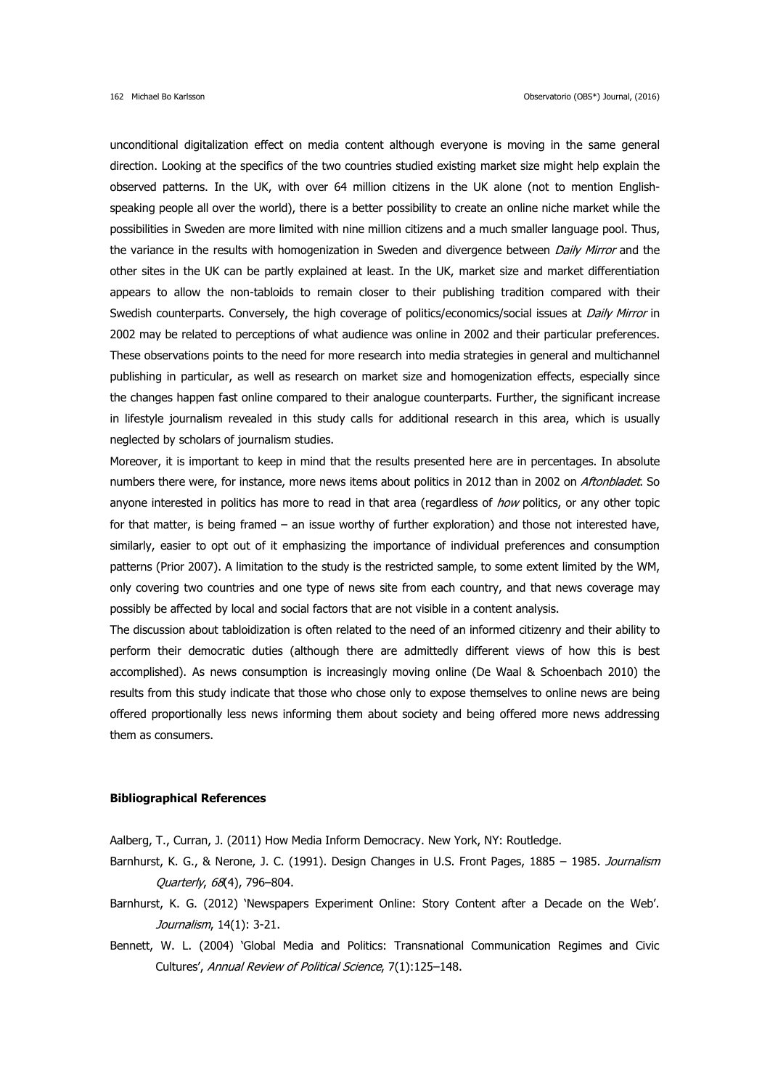unconditional digitalization effect on media content although everyone is moving in the same general direction. Looking at the specifics of the two countries studied existing market size might help explain the observed patterns. In the UK, with over 64 million citizens in the UK alone (not to mention Englishspeaking people all over the world), there is a better possibility to create an online niche market while the possibilities in Sweden are more limited with nine million citizens and a much smaller language pool. Thus, the variance in the results with homogenization in Sweden and divergence between Daily Mirror and the other sites in the UK can be partly explained at least. In the UK, market size and market differentiation appears to allow the non-tabloids to remain closer to their publishing tradition compared with their Swedish counterparts. Conversely, the high coverage of politics/economics/social issues at Daily Mirror in 2002 may be related to perceptions of what audience was online in 2002 and their particular preferences. These observations points to the need for more research into media strategies in general and multichannel publishing in particular, as well as research on market size and homogenization effects, especially since the changes happen fast online compared to their analogue counterparts. Further, the significant increase in lifestyle journalism revealed in this study calls for additional research in this area, which is usually neglected by scholars of journalism studies.

Moreover, it is important to keep in mind that the results presented here are in percentages. In absolute numbers there were, for instance, more news items about politics in 2012 than in 2002 on Aftonbladet. So anyone interested in politics has more to read in that area (regardless of how politics, or any other topic for that matter, is being framed – an issue worthy of further exploration) and those not interested have, similarly, easier to opt out of it emphasizing the importance of individual preferences and consumption patterns (Prior 2007). A limitation to the study is the restricted sample, to some extent limited by the WM, only covering two countries and one type of news site from each country, and that news coverage may possibly be affected by local and social factors that are not visible in a content analysis.

The discussion about tabloidization is often related to the need of an informed citizenry and their ability to perform their democratic duties (although there are admittedly different views of how this is best accomplished). As news consumption is increasingly moving online (De Waal & Schoenbach 2010) the results from this study indicate that those who chose only to expose themselves to online news are being offered proportionally less news informing them about society and being offered more news addressing them as consumers.

## **Bibliographical References**

Aalberg, T., Curran, J. (2011) How Media Inform Democracy. New York, NY: Routledge.

- Barnhurst, K. G., & Nerone, J. C. (1991). Design Changes in U.S. Front Pages, 1885 1985. Journalism Quarterly, 68(4), 796–804.
- Barnhurst, K. G. (2012) 'Newspapers Experiment Online: Story Content after a Decade on the Web'. Journalism, 14(1): 3-21.
- Bennett, W. L. (2004) 'Global Media and Politics: Transnational Communication Regimes and Civic Cultures', Annual Review of Political Science, 7(1):125–148.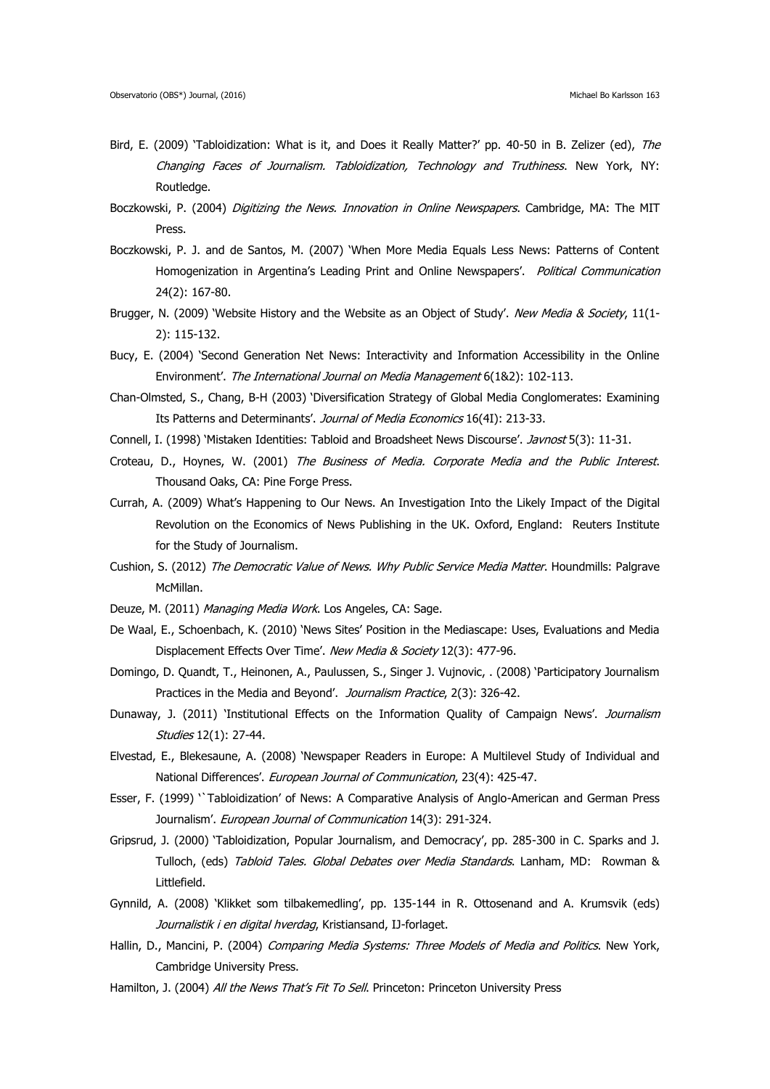- Bird, E. (2009) 'Tabloidization: What is it, and Does it Really Matter?' pp. 40-50 in B. Zelizer (ed), The Changing Faces of Journalism. Tabloidization, Technology and Truthiness. New York, NY: Routledge.
- Boczkowski, P. (2004) Digitizing the News. Innovation in Online Newspapers. Cambridge, MA: The MIT Press.
- Boczkowski, P. J. and de Santos, M. (2007) 'When More Media Equals Less News: Patterns of Content Homogenization in Argentina's Leading Print and Online Newspapers'. Political Communication 24(2): 167-80.
- Brugger, N. (2009) 'Website History and the Website as an Object of Study'. New Media & Society, 11(1-2): 115-132.
- Bucy, E. (2004) 'Second Generation Net News: Interactivity and Information Accessibility in the Online Environment'. The International Journal on Media Management 6(1&2): 102-113.
- Chan-Olmsted, S., Chang, B-H (2003) 'Diversification Strategy of Global Media Conglomerates: Examining Its Patterns and Determinants'. Journal of Media Economics 16(4I): 213-33.
- Connell, I. (1998) 'Mistaken Identities: Tabloid and Broadsheet News Discourse'. Javnost 5(3): 11-31.
- Croteau, D., Hoynes, W. (2001) The Business of Media. Corporate Media and the Public Interest. Thousand Oaks, CA: Pine Forge Press.
- Currah, A. (2009) What's Happening to Our News. An Investigation Into the Likely Impact of the Digital Revolution on the Economics of News Publishing in the UK. Oxford, England: Reuters Institute for the Study of Journalism.
- Cushion, S. (2012) The Democratic Value of News. Why Public Service Media Matter. Houndmills: Palgrave McMillan.
- Deuze, M. (2011) Managing Media Work. Los Angeles, CA: Sage.
- De Waal, E., Schoenbach, K. (2010) 'News Sites' Position in the Mediascape: Uses, Evaluations and Media Displacement Effects Over Time'. New Media & Society 12(3): 477-96.
- Domingo, D. Quandt, T., Heinonen, A., Paulussen, S., Singer J. Vujnovic, . (2008) 'Participatory Journalism Practices in the Media and Beyond'. Journalism Practice, 2(3): 326-42.
- Dunaway, J. (2011) 'Institutional Effects on the Information Quality of Campaign News'. Journalism Studies 12(1): 27-44.
- Elvestad, E., Blekesaune, A. (2008) 'Newspaper Readers in Europe: A Multilevel Study of Individual and National Differences'. European Journal of Communication, 23(4): 425-47.
- Esser, F. (1999) '`Tabloidization' of News: A Comparative Analysis of Anglo-American and German Press Journalism'. European Journal of Communication 14(3): 291-324.
- Gripsrud, J. (2000) 'Tabloidization, Popular Journalism, and Democracy', pp. 285-300 in C. Sparks and J. Tulloch, (eds) Tabloid Tales. Global Debates over Media Standards. Lanham, MD: Rowman & Littlefield.
- Gynnild, A. (2008) 'Klikket som tilbakemedling', pp. 135-144 in R. Ottosenand and A. Krumsvik (eds) Journalistik i en digital hverdag, Kristiansand, IJ-forlaget.
- Hallin, D., Mancini, P. (2004) Comparing Media Systems: Three Models of Media and Politics. New York, Cambridge University Press.
- Hamilton, J. (2004) All the News That's Fit To Sell. Princeton: Princeton University Press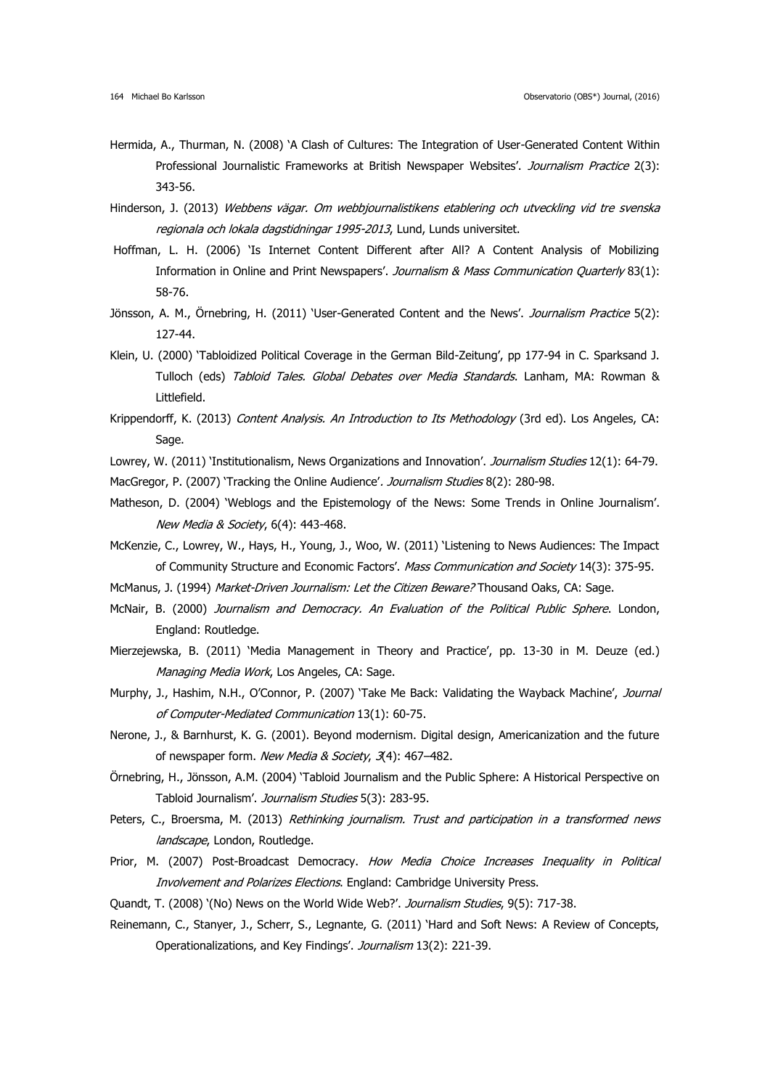- Hermida, A., Thurman, N. (2008) 'A Clash of Cultures: The Integration of User-Generated Content Within Professional Journalistic Frameworks at British Newspaper Websites'. Journalism Practice 2(3): 343-56.
- Hinderson, J. (2013) Webbens vägar. Om webbjournalistikens etablering och utveckling vid tre svenska regionala och lokala dagstidningar 1995-2013, Lund, Lunds universitet.
- Hoffman, L. H. (2006) 'Is Internet Content Different after All? A Content Analysis of Mobilizing Information in Online and Print Newspapers'. Journalism & Mass Communication Quarterly 83(1): 58-76.
- Jönsson, A. M., Örnebring, H. (2011) 'User-Generated Content and the News'. Journalism Practice 5(2): 127-44.
- Klein, U. (2000) 'Tabloidized Political Coverage in the German Bild-Zeitung', pp 177-94 in C. Sparksand J. Tulloch (eds) Tabloid Tales. Global Debates over Media Standards. Lanham, MA: Rowman & Littlefield.
- Krippendorff, K. (2013) Content Analysis. An Introduction to Its Methodology (3rd ed). Los Angeles, CA: Sage.
- Lowrey, W. (2011) 'Institutionalism, News Organizations and Innovation'. Journalism Studies 12(1): 64-79. MacGregor, P. (2007) 'Tracking the Online Audience'. Journalism Studies 8(2): 280-98.
- Matheson, D. (2004) 'Weblogs and the Epistemology of the News: Some Trends in Online Journalism'. New Media & Society, 6(4): 443-468.
- McKenzie, C., Lowrey, W., Hays, H., Young, J., Woo, W. (2011) 'Listening to News Audiences: The Impact of Community Structure and Economic Factors'. Mass Communication and Society 14(3): 375-95.
- McManus, J. (1994) Market-Driven Journalism: Let the Citizen Beware? Thousand Oaks, CA: Sage.
- McNair, B. (2000) Journalism and Democracy. An Evaluation of the Political Public Sphere. London, England: Routledge.
- Mierzejewska, B. (2011) 'Media Management in Theory and Practice', pp. 13-30 in M. Deuze (ed.) Managing Media Work, Los Angeles, CA: Sage.
- Murphy, J., Hashim, N.H., O'Connor, P. (2007) 'Take Me Back: Validating the Wayback Machine', *Journal* of Computer-Mediated Communication 13(1): 60-75.
- Nerone, J., & Barnhurst, K. G. (2001). Beyond modernism. Digital design, Americanization and the future of newspaper form. New Media & Society, 3(4): 467-482.
- Örnebring, H., Jönsson, A.M. (2004) 'Tabloid Journalism and the Public Sphere: A Historical Perspective on Tabloid Journalism'. Journalism Studies 5(3): 283-95.
- Peters, C., Broersma, M. (2013) Rethinking journalism. Trust and participation in a transformed news landscape, London, Routledge.
- Prior, M. (2007) Post-Broadcast Democracy. How Media Choice Increases Inequality in Political Involvement and Polarizes Elections. England: Cambridge University Press.
- Quandt, T. (2008) '(No) News on the World Wide Web?'. Journalism Studies, 9(5): 717-38.
- Reinemann, C., Stanyer, J., Scherr, S., Legnante, G. (2011) 'Hard and Soft News: A Review of Concepts, Operationalizations, and Key Findings'. Journalism 13(2): 221-39.